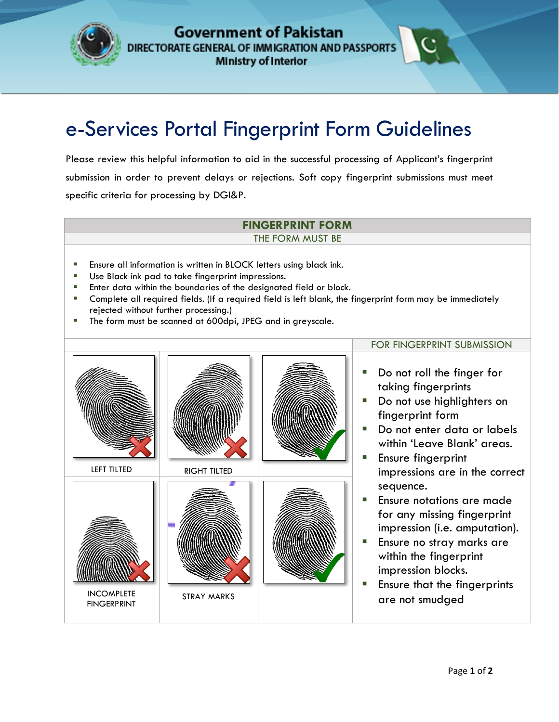

**Government of Pakistan** DIRECTORATE GENERAL OF IMMIGRATION AND PASSPORTS **Ministry of Interior** 

## e-Services Portal Fingerprint Form Guidelines

Please review this helpful information to aid in the successful processing of Applicant's fingerprint submission in order to prevent delays or rejections. Soft copy fingerprint submissions must meet specific criteria for processing by DGI&P.